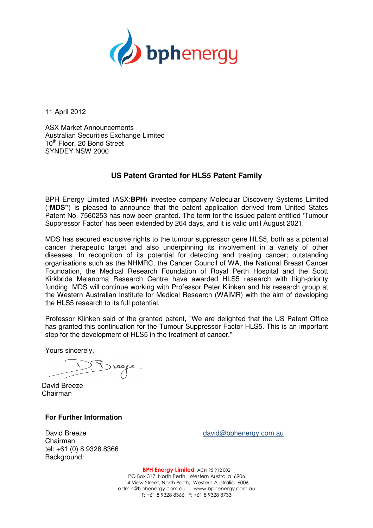

11 April 2012

ASX Market Announcements Australian Securities Exchange Limited 10<sup>th</sup> Floor, 20 Bond Street SYNDEY NSW 2000

## **US Patent Granted for HLS5 Patent Family**

BPH Energy Limited (ASX:BPH) investee company Molecular Discovery Systems Limited ("MDS") is pleased to announce that the patent application derived from United States Patent No. 7560253 has now been granted. The term for the issued patent entitled 'Tumour Suppressor Factor' has been extended by 264 days, and it is valid until August 2021.

MDS has secured exclusive rights to the tumour suppressor gene HLS5, both as a potential cancer therapeutic target and also underpinning its involvement in a variety of other diseases. In recognition of its potential for detecting and treating cancer; outstanding organisations such as the NHMRC, the Cancer Council of WA, the National Breast Cancer Foundation, the Medical Research Foundation of Royal Perth Hospital and the Scott Kirkbride Melanoma Research Centre have awarded HLS5 research funding. MDS will continue working with Professor Peter Klinken and his research group at the Western Australian Institute for Medical Research (WAIMR) with the aim of developing the HLS5 research to its full potential potential. the National Breast Cancer<br>th Hospital and the Scott<br>research with high-priority

Professor Klinken said of the granted patent, "We are delighted that the US Patent Office has granted this continuation for the Tumour Suppressor Factor HLS5. This is an important step for the development of HLS5 in the treatment of cancer."

Yours sincerely,

David Breeze Chairman

## **For Further Information**

David Breeze Chairman tel: +61 (0) 8 9328 8366 Background:

david@bphenergy.com.au

PO Box 317, North Perth, Western Australia 6906 14 View Street, North Perth, Western Australia 6006 admin@bphenergy.com.au www.bphenergy.com.au BPH Energy Limited ACN 95 912 002 T: +61 8 9328 8366 F: +61 8 9328 8733